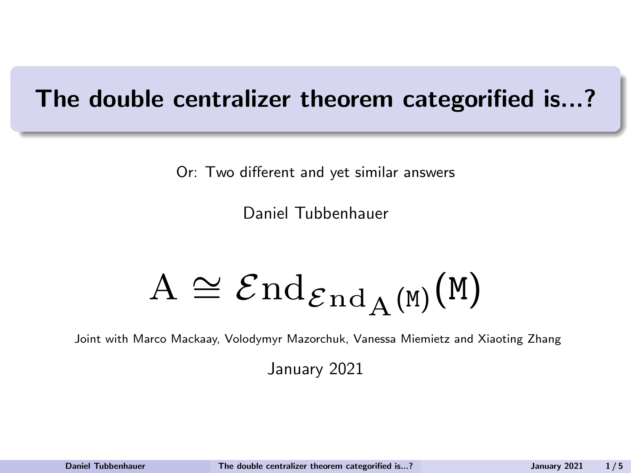# <span id="page-0-0"></span>The double centralizer theorem categorified is...?

Or: Two different and yet similar answers

Daniel Tubbenhauer

$$
\mathrm{A} \cong \mathcal{E}\mathrm{nd}_{\mathcal{E}\mathrm{nd}_\mathrm{A}(\mathtt{M})}(\mathtt{M})
$$

Joint with Marco Mackaay, Volodymyr Mazorchuk, Vanessa Miemietz and Xiaoting Zhang

January 2021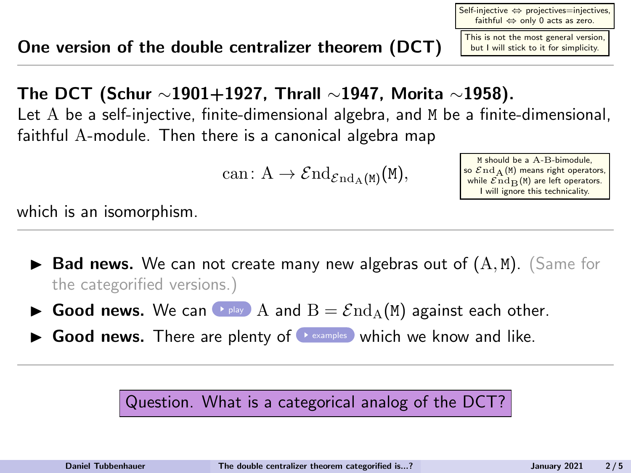This is not the most general version, but I will stick to it for simplicity.

The DCT (Schur  $\sim$ 1901+1927, Thrall  $\sim$ 1947, Morita  $\sim$ 1958). Let A be a self-injective, finite-dimensional algebra, and M be a finite-dimensional, faithful A-module. Then there is a canonical algebra map

can:  $A \to \mathcal{E} \text{nd}_{\mathcal{E} \text{nd}_A(M)}(M),$ 

M should be a A-B-bimodule, so  $\mathcal{E} \text{nd }_{\text{A}} (\text{M})$  means right operators, while  $\mathcal{E} \text{nd}_{\mathbf{D}}(\mathbf{M})$  are left operators. I will ignore this technicality.

Self-injective ⇔ projectives=injectives, faithful ⇔ only 0 acts as zero.

which is an isomorphism.

- $\blacktriangleright$  Bad news. We can not create many new algebras out of  $(A, M)$ . (Same for the categorified versions.)
- **Good news.** We can **Prelay** A and  $B = \mathcal{E} \text{nd}_A(M)$  against each other.
- $\triangleright$  Good news. There are plenty of  $\triangleright$  [examples](#page-14-0) which we know and like.

Question. What is a categorical analog of the DCT?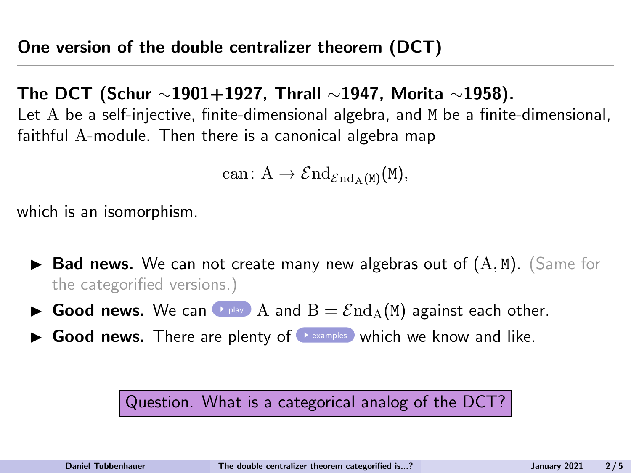<span id="page-2-0"></span>The DCT (Schur ∼1901+1927, Thrall ∼1947, Morita ∼1958). Let A be a self-injective, finite-dimensional algebra, and M be a finite-dimensional, faithful A-module. Then there is a canonical algebra map

$$
\mathrm{can}\colon \mathrm{A}\to \mathcal End_{\mathcal End_\mathrm{A}(M)}(M),
$$

which is an isomorphism.

- $\blacktriangleright$  Bad news. We can not create many new algebras out of  $(A, M)$ . (Same for the categorified versions.)
- **Good news.** We can **Prelay** A and  $B = \mathcal{E} \text{nd}_A(M)$  against each other.
- $\triangleright$  Good news. There are plenty of  $\triangleright$  [examples](#page-14-0) which we know and like.

Question. What is a categorical analog of the DCT?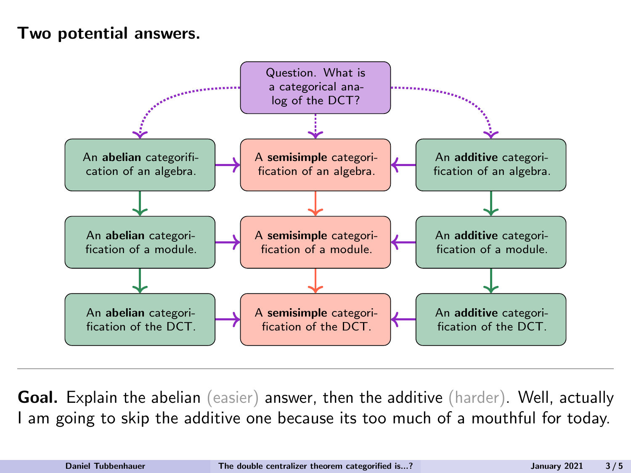#### Two potential answers.



Goal. Explain the abelian (easier) answer, then the additive (harder). Well, actually I am going to skip the additive one because its too much of a mouthful for today.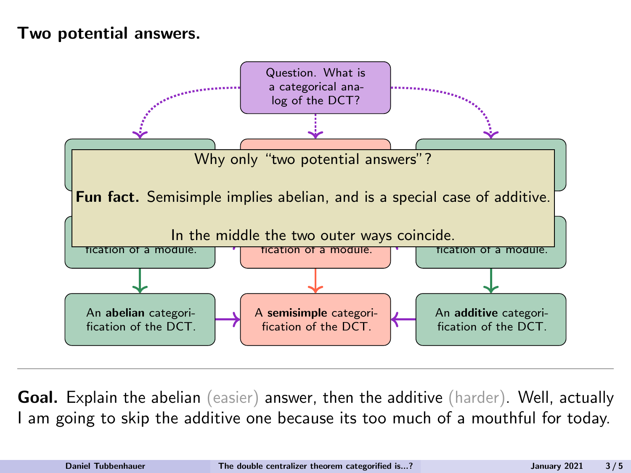#### Two potential answers.



Goal. Explain the abelian (easier) answer, then the additive (harder). Well, actually I am going to skip the additive one because its too much of a mouthful for today.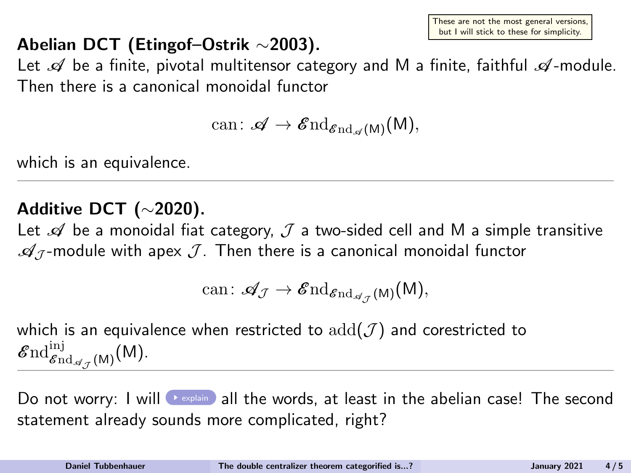These are not the most general versions, but I will stick to these for simplicity.

# <span id="page-5-0"></span>Abelian DCT (Etingof–Ostrik ∼2003).

Let  $\mathscr A$  be a finite, pivotal multitensor category and M a finite, faithful  $\mathscr A$ -module. Then there is a canonical monoidal functor

$$
\mathrm{can}\colon \mathscr{A}\to \mathscr{E}\mathrm{nd}_{\mathscr{E}\mathrm{nd}_{\mathscr{A}}(\mathsf{M})}(\mathsf{M}),
$$

which is an equivalence.

## Additive DCT (∼2020).

Let  $\mathscr A$  be a monoidal fiat category,  $\mathcal J$  a two-sided cell and M a simple transitive  $\mathcal{A}_J$ -module with apex  $\mathcal{J}$ . Then there is a canonical monoidal functor

$$
\mathrm{can}\colon {\mathscr A}_{\mathcal J}\to {\mathscr E}{\mathrm{nd}}_{{\mathscr E}{\mathrm{nd}}_{{\mathscr A}_{\mathcal J}}(M)}(M),
$$

which is an equivalence when restricted to  $add(\mathcal{J})$  and corestricted to  $\mathscr{E}\mathrm{nd}^{\mathrm{inj}}_{\mathscr{E}\mathrm{nd}_{\mathscr{A}_\mathcal{J}}(\mathsf{M})}(\mathsf{M}).$ 

Do not worry: I will  $\rightarrow$  [explain](#page-21-0) all the words, at least in the abelian case! The second statement already sounds more complicated, right?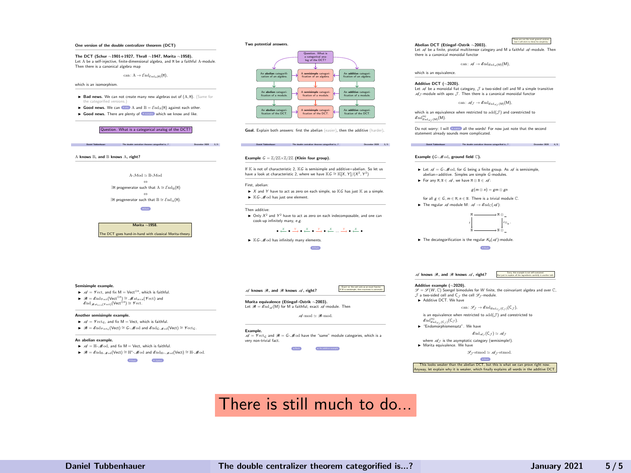

#### There is still much to do...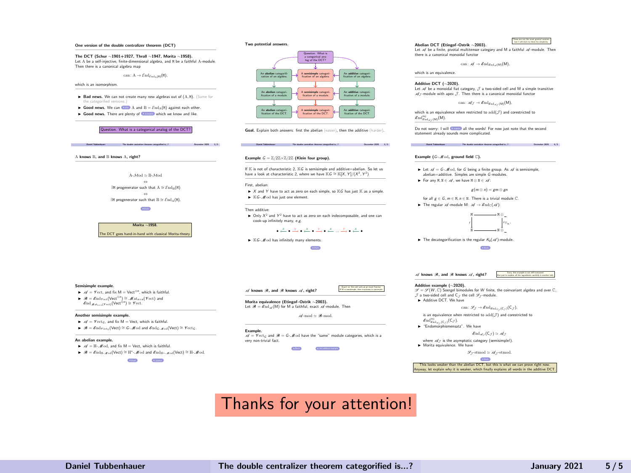<span id="page-7-0"></span>

#### Thanks for your attention!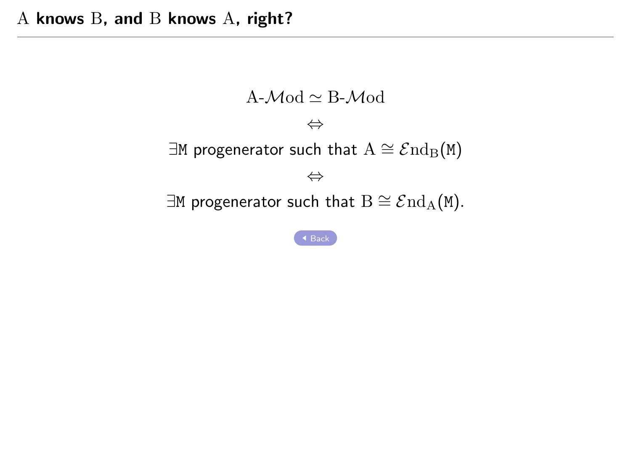<span id="page-8-0"></span>
$$
\begin{array}{l} \text{A-}\mathcal{M}\text{od}\simeq \text{B-}\mathcal{M}\text{od}\\ \\ \Leftrightarrow \\ \exists \text{M progenerator such that } A\cong \mathcal{E}\text{nd}_{B}(\text{M})\\ \\ \Leftrightarrow \\ \exists \text{M progenerator such that } B\cong \mathcal{E}\text{nd}_{A}(\text{M}). \end{array}
$$

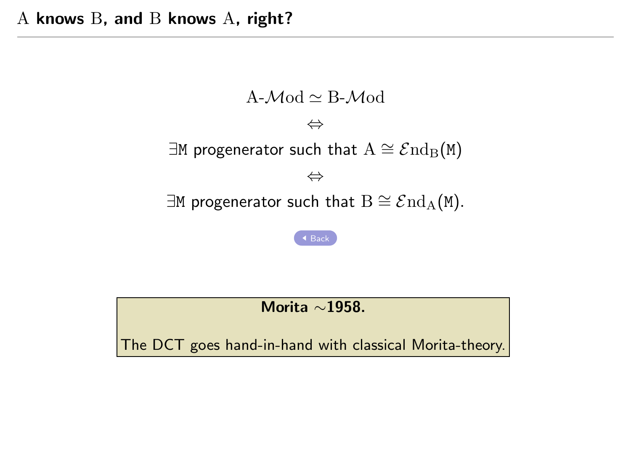

Morita ∼1958.

The DCT goes hand-in-hand with classical Morita-theory.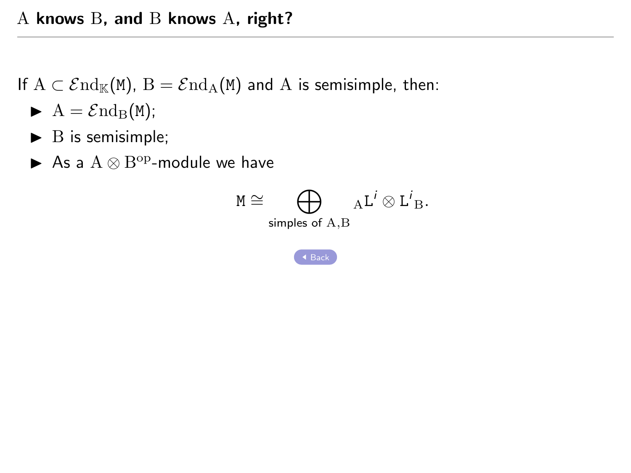If  $A \subset \mathcal{E}nd_{\mathbb{K}}(M)$ ,  $B = \mathcal{E}nd_{A}(M)$  and A is semisimple, then:

- $\blacktriangleright$  A =  $\mathcal{E}nd_{\text{B}}(M);$
- $\blacktriangleright$  B is semisimple;
- As a  $A \otimes B^{\text{op}}$ -module we have

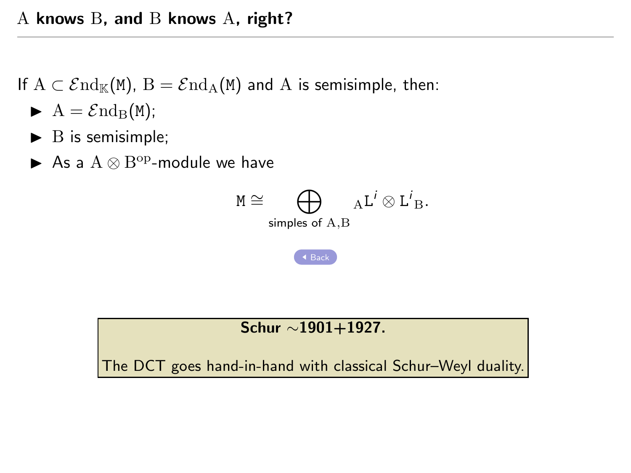If  $A \subset \mathcal{E}nd_{\mathbb{K}}(\mathbb{M})$ ,  $B = \mathcal{E}nd_{\mathbb{A}}(\mathbb{M})$  and A is semisimple, then:

- $\blacktriangleright$  A =  $\mathcal{E} \text{nd}_{\text{B}}(M);$
- $\blacktriangleright$  B is semisimple;
- As a  $A \otimes B^{\text{op}}$ -module we have



#### Schur ∼1901+1927.

The DCT goes hand-in-hand with classical Schur–Weyl duality.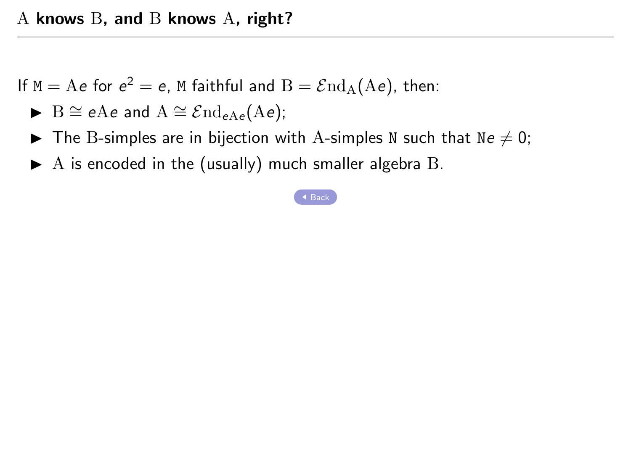If  $M = Ae$  for  $e^2 = e$ , M faithful and  $B = \mathcal{E}nd_A(Ae)$ , then:

- ► B  $\cong$  eAe and A  $\cong$   $\mathcal{E}$ nd<sub>eAe</sub>(Ae);
- $\blacktriangleright$  The B-simples are in bijection with A-simples N such that Ne  $\neq 0$ ;
- $\blacktriangleright$  A is encoded in the (usually) much smaller algebra B.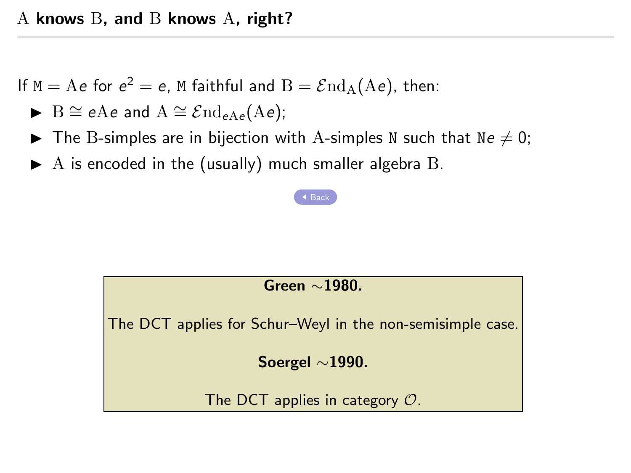If  $M = Ae$  for  $e^2 = e$ , M faithful and  $B = \mathcal{E}nd_A(Ae)$ , then:

- ► B  $\cong$  eAe and A  $\cong$   $\mathcal{E}$ nd<sub>eAe</sub>(Ae);
- $\blacktriangleright$  The B-simples are in bijection with A-simples N such that Ne  $\neq 0$ ;
- $\blacktriangleright$  A is encoded in the (usually) much smaller algebra B.

#### [Back](#page-2-0)

#### Green ∼1980.

The DCT applies for Schur–Weyl in the non-semisimple case.

#### Soergel ∼1990.

The DCT applies in category  $\mathcal{O}$ .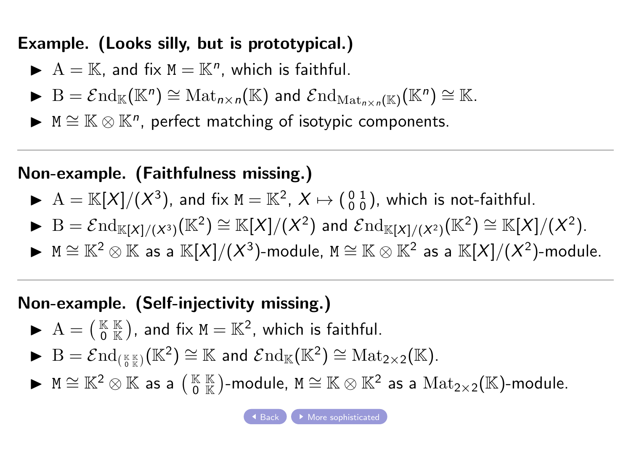# <span id="page-14-0"></span>Example. (Looks silly, but is prototypical.)

- $A = \mathbb{K}$ , and fix  $M = \mathbb{K}^n$ , which is faithful.
- $\blacktriangleright$   $B = \mathcal{E} nd_{\mathbb{K}}(\mathbb{K}^n) \cong Mat_{n \times n}(\mathbb{K})$  and  $\mathcal{E} nd_{Mat_{n \times n}(\mathbb{K})}(\mathbb{K}^n) \cong \mathbb{K}$ .
- $\blacktriangleright$  M  $\cong$   $\mathbb{K} \otimes \mathbb{K}^n$ , perfect matching of isotypic components.

# Non-example. (Faithfulness missing.)

- $\blacktriangleright$  A =  $\mathbb{K}[X]/(X^3)$ , and fix M =  $\mathbb{K}^2$ ,  $X \mapsto \begin{pmatrix} 0 & 1 \\ 0 & 0 \end{pmatrix}$ , which is not-faithful.
- $\blacktriangleright$  B =  $\mathcal{E} \text{nd}_{\mathbb{K}[X]/(X^3)}(\mathbb{K}^2) \cong \mathbb{K}[X]/(X^2)$  and  $\mathcal{E} \text{nd}_{\mathbb{K}[X]/(X^2)}(\mathbb{K}^2) \cong \mathbb{K}[X]/(X^2).$
- ▶  $M \cong \mathbb{K}^2 \otimes \mathbb{K}$  as a  $\mathbb{K}[X]/(X^3)$ -module,  $M \cong \mathbb{K} \otimes \mathbb{K}^2$  as a  $\mathbb{K}[X]/(X^2)$ -module.

# Non-example. (Self-injectivity missing.)

- $A = (\begin{smallmatrix} K & K \\ 0 & K \end{smallmatrix})$ , and fix  $M = K^2$ , which is faithful.
- ▶  $B = \mathcal{E} \mathrm{nd}_{(\frac{\kappa}{6}\mathbb{K})}(\mathbb{K}^2) \cong \mathbb{K}$  and  $\mathcal{E} \mathrm{nd}_{\mathbb{K}}(\mathbb{K}^2) \cong \mathrm{Mat}_{2\times 2}(\mathbb{K}).$
- ▶  $M \cong \mathbb{K}^2 \otimes \mathbb{K}$  as a  $\left(\begin{smallmatrix} \mathbb{K} & \mathbb{K} \\ 0 & \mathbb{K} \end{smallmatrix}\right)$ -module,  $M \cong \mathbb{K} \otimes \mathbb{K}^2$  as a  ${\rm Mat}_{2 \times 2}(\mathbb{K})$ -module.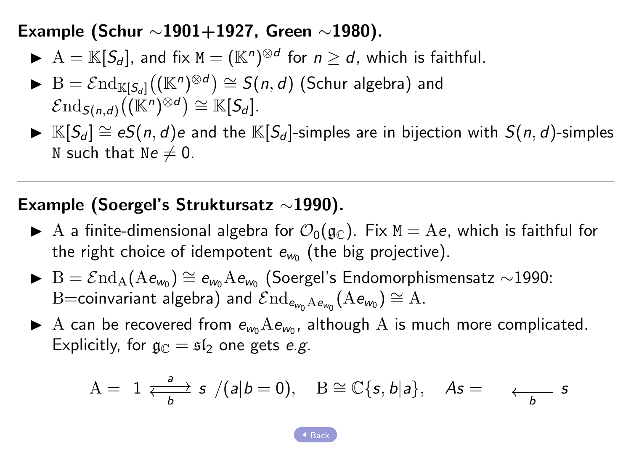<span id="page-15-0"></span>Example (Schur ∼1901+1927, Green ∼1980).

- $\blacktriangleright$   $A = \mathbb{K}[S_d]$ , and fix  $M = (\mathbb{K}^n)^{\otimes d}$  for  $n \geq d$ , which is faithful.
- $\blacktriangleright$   $\mathrm{B} = \mathcal{E}\mathrm{nd}_{\mathbb{K}[S_d]}((\mathbb{K}^n)^{\otimes d}) \cong \mathcal{S}(n,d)$  (Schur algebra) and  $\mathcal{E} \mathrm{nd}_{\mathcal{S}(n,d)}\big((\mathbb{K}^n)^{\otimes d}\big) \cong \mathbb{K}[\mathcal{S}_d].$
- ►  $K[S_d] \cong eS(n, d)$ e and the  $K[S_d]$ -simples are in bijection with  $S(n, d)$ -simples N such that  $Ne \neq 0$ .

## Example (Soergel's Struktursatz ∼1990).

- A a finite-dimensional algebra for  $\mathcal{O}_0(\mathfrak{g}_\mathbb{C})$ . Fix  $M = Ae$ , which is faithful for the right choice of idempotent  $e_{w_0}$  (the big projective).
- $\blacktriangleright$  B =  $\mathcal{E}$ nd<sub>A</sub>(Ae<sub>wo</sub>) ≅ e<sub>wo</sub>Ae<sub>wo</sub> (Soergel's Endomorphismensatz ∼1990:  $\mathrm{B{=}}$ coinvariant algebra) and  $\mathcal{E}\mathrm{nd}_{\mathsf{e}_{\mathsf{w}_0}\mathrm{A}\mathsf{e}_{\mathsf{w}_0}}(\mathrm{A}\mathsf{e}_{\mathsf{w}_0})\cong \mathrm{A}.$
- A can be recovered from  $e_{w_0}Ae_{w_0}$ , although A is much more complicated. Explicitly, for  $\mathfrak{g}_{\mathbb{C}} = \mathfrak{sl}_2$  one gets e.g.

$$
A = 1 \xrightarrow[b]{a} s / (a|b = 0), B \cong \mathbb{C}\{s, b|a\}, \quad As = \xrightarrow[b]{}
$$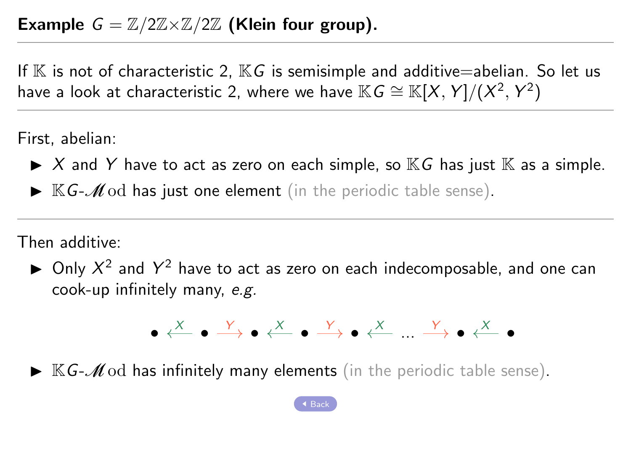<span id="page-16-0"></span>If  $\mathbb K$  is not of characteristic 2,  $\mathbb K G$  is semisimple and additive=abelian. So let us have a look at characteristic 2, where we have  $\mathbb{K} \mathsf{G} \cong \mathbb{K}[X,Y]/(X^2,Y^2)$ 

First, abelian:

- $\blacktriangleright$  X and Y have to act as zero on each simple, so  $\mathbb{K}G$  has just  $\mathbb{K}$  as a simple.
- $\triangleright$  KG- $\mathcal{M}$ od has just one element (in the periodic table sense).

Then additive:

 $\blacktriangleright$  Only  $X^2$  and  $Y^2$  have to act as zero on each indecomposable, and one can cook-up infinitely many, e.g.



 $\blacktriangleright$  KG-*M* od has infinitely many elements (in the periodic table sense).

[Back](#page-22-0)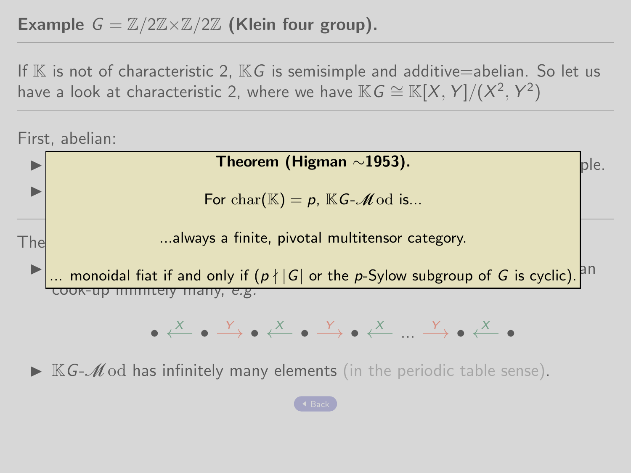## Example  $G = \mathbb{Z}/2\mathbb{Z} \times \mathbb{Z}/2\mathbb{Z}$  (Klein four group).

If  $\mathbb K$  is not of characteristic 2,  $\mathbb K G$  is semisimple and additive=abelian. So let us have a look at characteristic 2, where we have  $\mathbb{K} \mathsf{G} \cong \mathbb{K}[X,Y]/(X^2,Y^2)$ 

First, abelian:



 $\triangleright$  KG- $\mathcal{M}$  od has infinitely many elements (in the periodic table sense).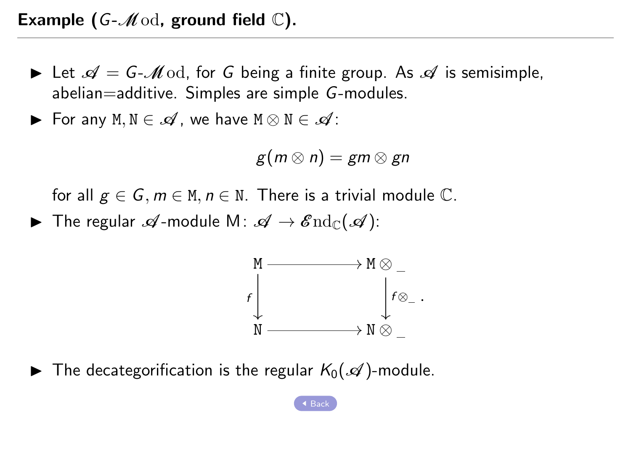<span id="page-18-0"></span>Example (G- $\mathcal{M}$ od, ground field  $\mathbb{C}$ ).

- In Let  $\mathcal{A} = G \mathcal{M}$  od, for G being a finite group. As  $\mathcal{A}$  is semisimple, abelian=additive. Simples are simple G-modules.
- $\blacktriangleright$  For any M, N ∈  $\mathscr A$ , we have M  $\otimes$  N ∈  $\mathscr A$ :

$$
g(m\otimes n)=gm\otimes gn
$$

for all  $g \in G$ ,  $m \in M$ ,  $n \in N$ . There is a trivial module  $\mathbb{C}$ .

**►** The regular  $\mathscr A$ -module M:  $\mathscr A \to \mathscr E \mathrm{nd}_{\mathbb C}(\mathscr A)$ :



 $\blacktriangleright$  The decategorification is the regular  $K_0(\mathscr{A})$ -module.

[Back](#page-26-0)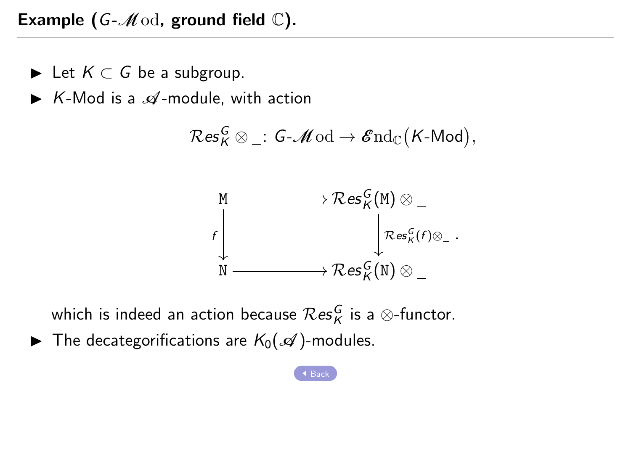Example (G- $\mathcal{M}$ od, ground field  $\mathbb{C}$ ).

- ► Let  $K \subset G$  be a subgroup.
- $\triangleright$  K-Mod is a  $\mathscr A$ -module, with action

$$
\mathcal{R}\mathbf{es}^{\boldsymbol{G}}_{\boldsymbol{K}}\otimes\_\,pcolon \boldsymbol{G}\text{-}\boldsymbol{\mathscr{M}}\text{od} \to \boldsymbol{\mathscr{E}}\text{nd}_{\mathbb{C}}\big(\boldsymbol{K}\text{-}\boldsymbol{\mathsf{Mod}}\big),
$$



which is indeed an action because  $\mathcal{R}\textup{es}_K^G$  is a  $\otimes$ -functor.

 $\blacktriangleright$  The decategorifications are  $K_0(\mathcal{A})$ -modules.

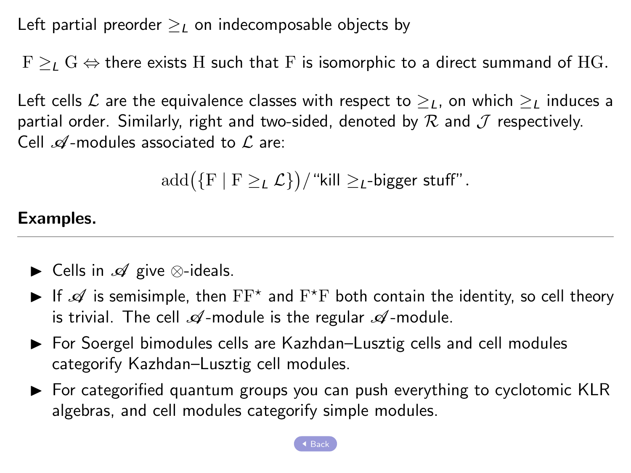<span id="page-20-0"></span>Left partial preorder  $\geq_L$  on indecomposable objects by

 $F >_{L} G \Leftrightarrow$  there exists H such that F is isomorphic to a direct summand of HG.

Left cells L are the equivalence classes with respect to  $\geq_L$ , on which  $\geq_L$  induces a partial order. Similarly, right and two-sided, denoted by  $R$  and  $I$  respectively. Cell  $\mathcal{A}$ -modules associated to  $\mathcal{L}$  are:

$$
\mathrm{add}(\{F \mid F \geq_L \mathcal{L}\})/\text{``kill} \geq_L\text{-bigger stuff''}.
$$

#### Examples.

- ► Cells in  $\mathscr A$  give  $\otimes$ -ideals.
- If  $\mathscr A$  is semisimple, then  $\mathrm{FF}^*$  and  $\mathrm{F}^*\mathrm{F}$  both contain the identity, so cell theory is trivial. The cell  $\mathscr A$ -module is the regular  $\mathscr A$ -module.
- $\triangleright$  For Soergel bimodules cells are Kazhdan–Lusztig cells and cell modules categorify Kazhdan–Lusztig cell modules.
- $\triangleright$  For categorified quantum groups you can push everything to cyclotomic KLR algebras, and cell modules categorify simple modules.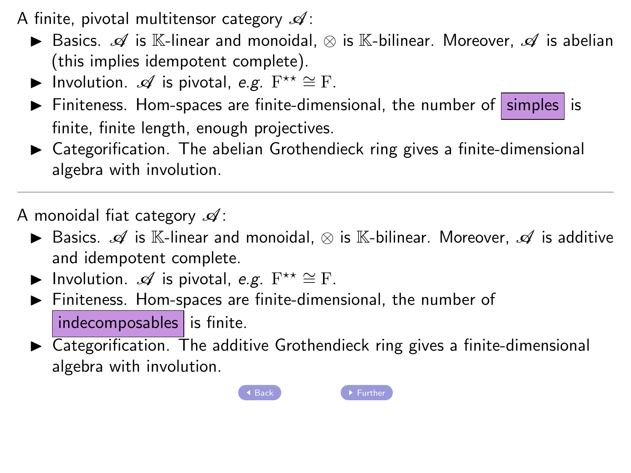- <span id="page-21-0"></span>A finite, pivotal multitensor category  $\mathscr{A}$ :
	- **►** Basics.  $\mathscr A$  is K-linear and monoidal,  $\otimes$  is K-bilinear. Moreover,  $\mathscr A$  is abelian (this implies idempotent complete).
	- ► Involution.  $\mathscr A$  is pivotal, e.g.  $F^{\star\star} \cong F$ .
	- $\triangleright$  Finiteness. Hom-spaces are finite-dimensional, the number of simples is finite, finite length, enough projectives.
	- $\triangleright$  Categorification. The abelian Grothendieck ring gives a finite-dimensional algebra with involution.

A monoidal fiat category  $\mathscr{A}$ :

- **►** Basics.  $\mathscr A$  is K-linear and monoidal,  $\otimes$  is K-bilinear. Moreover,  $\mathscr A$  is additive an[d idem](#page-16-0)potent complete.
- ► Involution.  $\mathscr A$  is pivotal, e.g.  $F^{\star\star} \cong F$ .
- $\blacktriangleright$  Finiteness. Hom-spaces are finite-dimensional, the number of  $indexomposables$  is finite.
- $\triangleright$  Categorification. The additive Grothendieck ring gives a finite-dimensional algebra with involution.



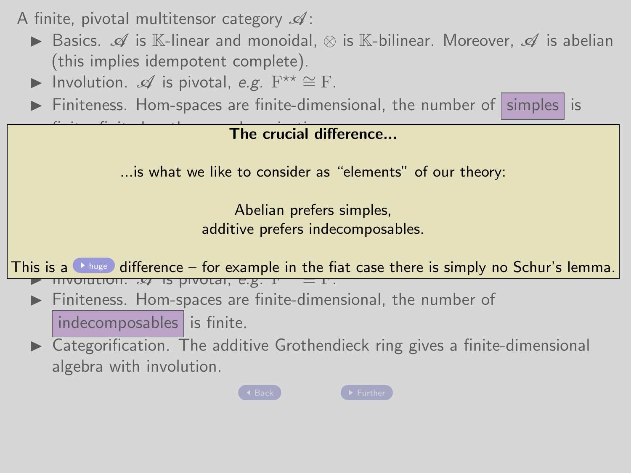<span id="page-22-0"></span>A finite, pivotal multitensor category  $\mathscr A$ :

- **E** Basics. A is K-linear and monoidal, ⊗ is K-bilinear. Moreover, A is abelian (this implies idempotent complete).
- ▶ Involution.  $\mathscr A$  is pivotal, e.g.  $F^{\star\star} \cong F$ .
- Finiteness. Hom-spaces are finite-dimensional, the number of  $\sinh^{-1}$  is

# $f(x) = f(x) + f(x)$  The crucial difference...

algebra with involution involution. It is what we like to consider as "elements" of our theory:

 $\mathsf{A} \in \mathsf{A}$  and  $\mathsf{A} \in \mathsf{A}$  :  $\mathsf{A} \in \mathsf{A}$  :  $\mathsf{A} \in \mathsf{A}$  :  $\mathsf{A} \in \mathsf{A}$  :  $\mathsf{A} \in \mathsf{A}$  :  $\mathsf{A} \in \mathsf{A}$  :  $\mathsf{A} \in \mathsf{A}$  :  $\mathsf{A} \in \mathsf{A}$  :  $\mathsf{A} \in \mathsf{A}$  :  $\mathsf{A} \in \mathsf{A}$  :  $\mathsf{A} \in \$ I Basics. A is K-linear and monoidal, ⊗ is K-linear and monoidal, ⊗ is K-bilinear. Moreover, A is additive present<br>I additive presented and monoidal, ⊗ is additive presented and monoidal, see and monoidal, and monoidal, a Abelian prefers simples, additive prefers indecomposables.

 $\frac{1}{2}$  complete. The intervals of  $\frac{1}{2}$  $\frac{1}{11}$  Involution.  $\frac{1}{2}$  is pivotal, e.g. Fig. This is a  $\bullet$  huge difference – for example in the fiat case there is simply no Schur's lemma.<br>
→ involution.  $\infty$  is provided, e.g.  $\pm$  =  $\pm$ .

- $\triangleright$  Finiteness. Hom-spaces are finite-dimensional, the number of  $indexomposables$  is finite.
- Categorification. The additive Grothendieck ring gives a finite-dimensional algebra with involution.



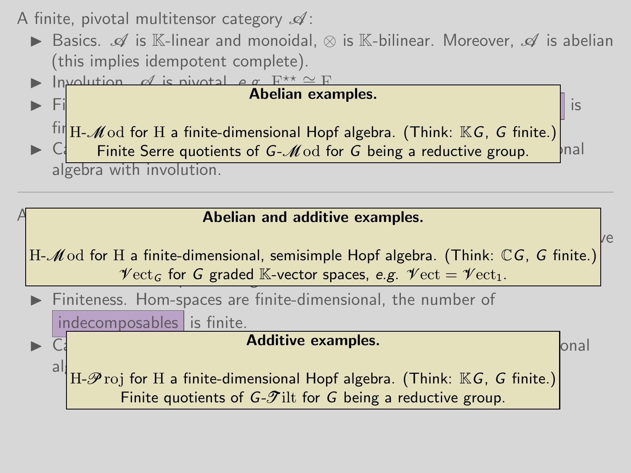A finite, pivotal multitensor category  $\mathscr A$ :

**►** Basics.  $\mathcal{A}$  is K-linear and monoidal,  $\otimes$  is K-bilinear. Moreover,  $\mathcal{A}$  is abelian (this implies idempotent complete).



#### $A$  and  $A$  and  $A$  : Abelian and additive examples.

 $\begin{bmatrix} 1 & 0 & 0 & 0 \\ 0 & 0 & 0 & 0 \\ 0 & 0 & 0 & 0 \\ 0 & 0 & 0 & 0 \end{bmatrix}$  $H-{\mathscr M}$ od for  $H$  a finite-dimensional, semisimple Hopf algebra. (Think:  $\mathbb {C} G$ ,  $G$  finite.)  ${\mathscr V\textup{ect}}_G$  for G graded K-vector spaces, e.g.  ${\mathscr V\textup{ect}}={\mathscr V\textup{ect}}_1$ .

Finiteness. Hom-spaces are finite-dimensional, the number of

indecomposables is finite.

# $\blacktriangleright$   $\overline{C}$  can finite-dimension. The additive examples.

al $\left\vert \mathrm{H}\text{-}\mathscr{P}\mathrm{roj} \text{ for }\mathrm{H}\text{ a finite-dimensional Hopf algebra.} \right.$  (Think:  $\mathbb{K} G$ , G finite.) Finite quotients of  $G-\mathscr{T}$ ilt for G [being a](#page-25-0) reductive group.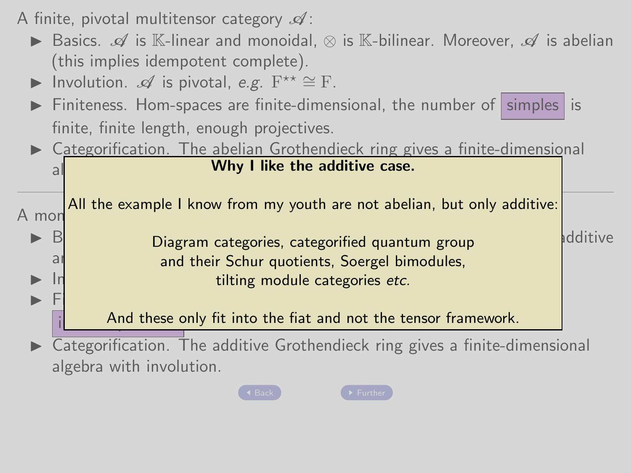A finite, pivotal multitensor category  $\mathscr A$ :

- **►** Basics.  $\mathcal{A}$  is K-linear and monoidal,  $\otimes$  is K-bilinear. Moreover,  $\mathcal{A}$  is abelian (this implies idempotent complete).
- ▶ Involution.  $\mathscr A$  is pivotal, e.g.  $F^{\star\star} \cong F$ .
- Finiteness. Hom-spaces are finite-dimensional, the number of  $|$  simples is finite, finite length, enough projectives.
- $\triangleright$  Categorification. The abelian Grothendieck ring gives a finite-dimensional al<mark>l</mark>e with involution. With involution  $\mathbf{v}$ Why I like the additive case.

A mondon  $\blacktriangleright$  B All the example I know from my youth are not abelian, but only additive:

▶ B<br>Diagram categories, categorified quantum group and their Schur quotients, Soergel bimodules, ▶ In

In Fig. , the spaces are finite-dimensional, the number of  $\mathbf{H}$  $\frac{1}{\sqrt{1-\frac{1}{n}}}\sum_{n=1}^{\infty}$  And these only fit into the fiat and not the tensor framework.

 $\overline{\text{Categorical}}$   $\overline{\text{Categorical}}$  The additive Grothendieck ring gives a finite-dimensional algebra with involution.



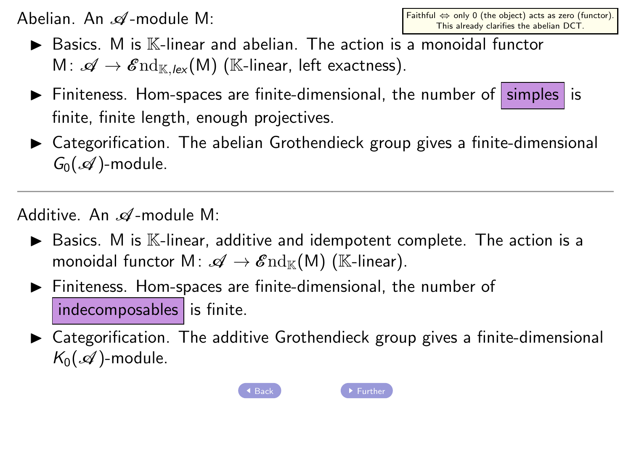<span id="page-25-0"></span>Abelian. An  $\mathscr A$ -module M:

- $\blacktriangleright$  Basics. M is  $\mathbb{K}\text{-linear}$  and abelian. The action is a monoidal functor M:  $\mathscr{A} \to \mathscr{E}nd_{\mathbb{K},\text{lex}}(\mathsf{M})$  (K-linear, left exactness).
- $\triangleright$  Finiteness. Hom-spaces are finite-dimensional, the number of simples is finite, finite length, enough projectives.
- $\triangleright$  Categorification. The abelian Grothendieck group gives a finite-dimensional  $G_0(\mathcal{A})$ -module.

Additive. An  $\mathscr A$ -module M:

- $\blacktriangleright$  Basics. M is  $\mathbb K$ -linear, additive and idempotent complete. Th[e action](#page-20-0) is a monoidal functor  $M: \mathscr{A} \to \mathscr{E}{\rm nd}_{\mathbb{K}}(M)$  (K-linear).
- $\blacktriangleright$  Finiteness. Hom-spaces are finite-dimensi[onal, th](#page-18-0)e number of  $indexomposables$  is finite.
- $\triangleright$  Categorification. The additive Grothendieck group gives a finite-dimensional  $K_0(\mathcal{A})$ -module.



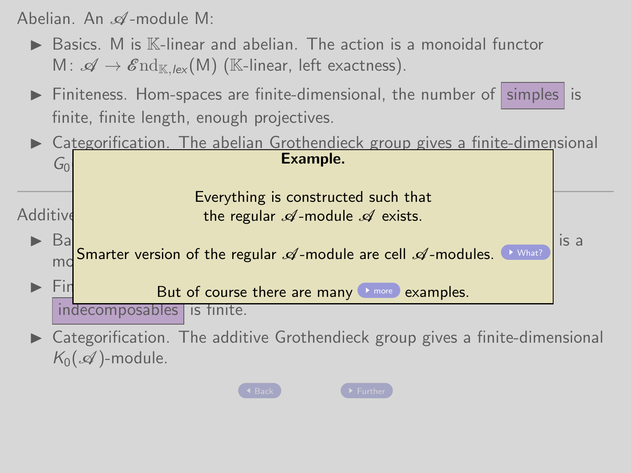<span id="page-26-0"></span>Abelian. An  $\mathscr A$ -module M:

- $\triangleright$  Basics. M is  $\mathbb{K}$ -linear and abelian. The action is a monoidal functor M:  $\mathscr{A} \to \mathscr{E}\mathrm{nd}_{\mathbb{K},\mathsf{lex}}(\mathsf{M})$  (K-linear, left exactness).
- $\triangleright$  Finiteness. Hom-spaces are finite-dimensional, the number of simples is finite, finite length, enough projectives.
- $\triangleright$  Categorification. The abelian Grothendieck group gives a finite-dimensional

|          | ∩تا      | Example.                                                                                                                        |      |
|----------|----------|---------------------------------------------------------------------------------------------------------------------------------|------|
| Additive |          | Everything is constructed such that<br>the regular $\mathscr A$ -module $\mathscr A$ exists.                                    |      |
|          | Ba<br>mc | Smarter version of the regular $\mathcal A$ -module are cell $\mathcal A$ -modules.<br>▶ What?                                  | is a |
|          |          | But of course there are many <b>Preson examples</b> .                                                                           |      |
|          |          | <i>indecomposables</i><br>tinite.<br>$\sqrt{S}$<br>Categorification. The additive Grothendieck group gives a finite-dimensional |      |

 $\blacktriangleright$  Categorification. The additive Grothendieck group gives a finite-dimensional  $K_0(\mathcal{A})$ -module.

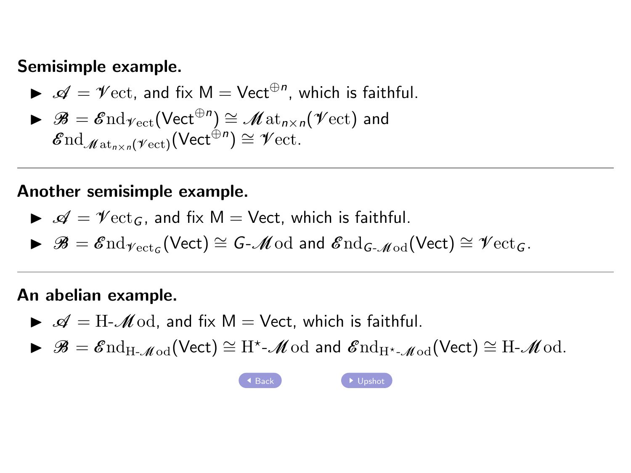#### <span id="page-27-0"></span>Semisimple example.

$$
\blacktriangleright \mathscr{A} = \mathscr{V}\text{ect}, \text{ and fix } M = \text{Vect}^{\oplus n}, \text{ which is faithful.}
$$

$$
\blacktriangleright \mathscr{B} = \mathscr{E}\mathrm{nd}_{\mathscr{V}\mathrm{ect}}(\mathsf{Vect}^{\oplus n}) \cong \mathscr{M}\mathrm{at}_{n \times n}(\mathscr{V}\mathrm{ect}) \text{ and } \mathscr{E}\mathrm{nd}_{\mathscr{M}\mathrm{at}_{n \times n}(\mathscr{V}\mathrm{ect})}(\mathsf{Vect}^{\oplus n}) \cong \mathscr{V}\mathrm{ect}.
$$

#### Another semisimple example.

$$
\blacktriangleright \mathscr{A} = \mathscr{V}\mathrm{ect}_G
$$
, and fix  $M = \text{Vect}$ , which is faithful.

$$
\blacktriangleright \mathscr{B} = \mathscr{E}\mathrm{nd}_{\mathscr{V}\mathrm{ect}_G}(\mathsf{Vect}) \cong \mathsf{G}\text{-}\mathscr{M}\mathrm{od} \text{ and } \mathscr{E}\mathrm{nd}_{\mathsf{G}\text{-}\mathscr{M}\mathrm{od}}(\mathsf{Vect}) \cong \mathscr{V}\mathrm{ect}_G.
$$

#### An abelian example.

- $\blacktriangleright$   $\mathcal{A} = H \mathcal{M}$  od, and fix  $M =$  Vect, which is faithful.
- $\blacktriangleright \mathscr{B} = \mathscr{E}\mathrm{nd}_{\mathrm{H}\text{-}\mathscr{M}\mathrm{od}}(\mathsf{Vect}) \cong \mathrm{H}^{\star}\text{-}\mathscr{M}\mathrm{od}$  and  $\mathscr{E}\mathrm{nd}_{\mathrm{H}^{\star}\text{-}\mathscr{M}\mathrm{od}}(\mathsf{Vect}) \cong \mathrm{H}\text{-}\mathscr{M}\mathrm{od}.$

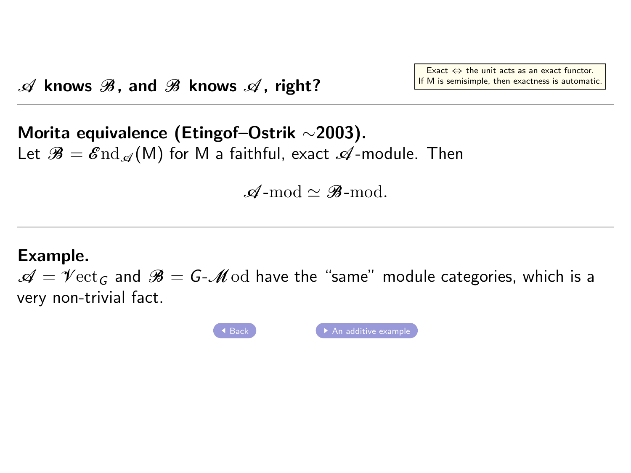# <span id="page-28-0"></span>Morita equivalence (Etingof–Ostrik ∼2003). Let  $\mathcal{B} = \mathcal{E} \text{nd}_{\mathcal{A}}(M)$  for M a faithful, exact  $\mathcal{A}$ -module. Then

 $\mathscr{A}\text{-mod}\simeq\mathscr{B}\text{-mod}$ 

#### Example.

 $\mathcal{A} = \mathcal{V}$ ect<sub>G</sub> and  $\mathcal{B} = G - \mathcal{M}$ od have the "same" module categories, which is a very non-trivial fact.

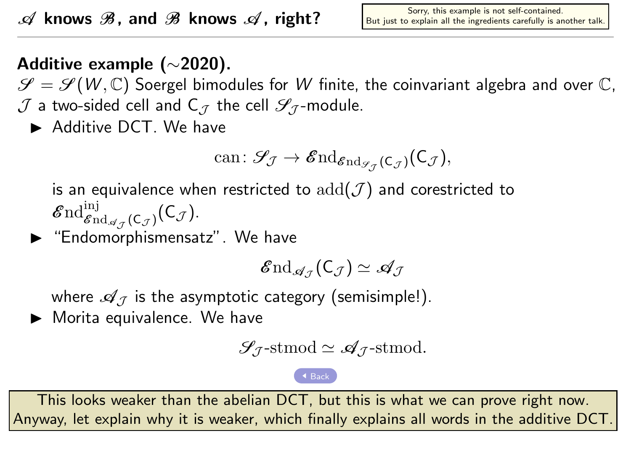# <span id="page-29-0"></span>Additive example (∼2020).

 $\mathscr{S} = \mathscr{S}(W, \mathbb{C})$  Soergel bimodules for W finite, the coinvariant algebra and over  $\mathbb{C}$ ,  $J$  a two-sided cell and C<sub>7</sub> the cell  $\mathscr{S}_{7}$ -module.

Additive DCT. We have

can: 
$$
\mathcal{S}_{\mathcal{J}} \to \mathcal{E}nd_{\mathcal{E}nd_{\mathcal{S}_{\mathcal{J}}}(\mathsf{C}_{\mathcal{J}})}(\mathsf{C}_{\mathcal{J}}),
$$

is an equivalence when restricted to  $add(\mathcal{J})$  and corestricted to  $\operatorname{End}_{\mathscr{E}\mathrm{nd}_{\mathscr{A}_{\mathcal{J}}}(\mathsf{C}_{\mathcal{J}})}^{\mathrm{inj}}(\mathsf{C}_{\mathcal{J}}).$ 

 $\blacktriangleright$  "Endomorphismensatz". We have

$$
\mathcal{E}{\rm nd}_{\mathscr{A}_{\mathcal{J}}}(\mathsf{C}_{\mathcal{J}})\simeq \mathscr{A}_{\mathcal{J}}
$$

where  $\mathscr{A}_{\mathcal{I}}$  is the asymptotic category (semisimple!).

 $\blacktriangleright$  Morita equivalence. We have

$$
\mathcal{S}_{\mathcal{J}}\text{-stmod}\simeq \mathcal{A}_{\mathcal{J}}\text{-stmod}.
$$

This looks weaker than the abelian DCT, but this is what we can prove right now. Anyway, let explain why it is weaker, which finally explains all words in the additive DCT.

4 [Back](#page-5-0)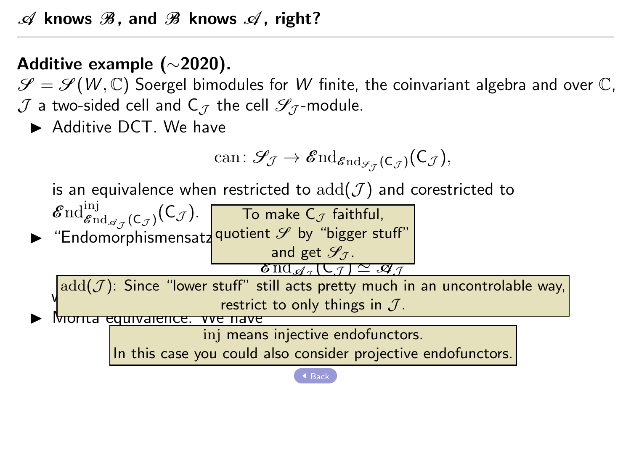# Additive example (∼2020).

 $\mathscr{S} = \mathscr{S}(W, \mathbb{C})$  Soergel bimodules for W finite, the coinvariant algebra and over  $\mathbb{C}$ ,  $J$  a two-sided cell and C<sub>7</sub> the cell  $\mathscr{S}_{7}$ -module.

Additive DCT. We have

$$
\mathrm{can}\colon\mathscr{S}_{\mathcal{J}}\to\mathscr{E}\mathrm{nd}_{\mathscr{E}\mathrm{nd}_{\mathscr{S}_{\mathcal{J}}}(\mathsf{C}_{\mathcal{J}})}(\mathsf{C}_{\mathcal{J}}),
$$

is an equivalence when restricted to  $add(\mathcal{J})$  and corestricted to

 $\mathscr{E}{\mathrm{nd}}_{\mathscr{E}{\mathrm{nd}}_{\mathscr{A}_{\mathscr{J}}}(C_{\mathscr{J}})}(C_{\mathscr{J}}).$  To make  $C_{\mathscr{J}}$  faithful,  $\blacktriangleright$  "Endomorphismensatz quotient  $\mathscr S$  by "bigger stuff"  $\mathscr{A}$ <sub>a</sub> (C $\tau$ )  $\simeq$   $\mathscr{A}$   $\tau$ and get  $\mathscr{S}_{\mathcal{I}}$ .

 $\frac{\delta \operatorname{nd}_\mathscr{A}_\mathcal{I}}{\delta \operatorname{nd}_\mathscr{A}_\mathcal{I}}$ where  $\frac{1}{\sqrt{2}}$  is the asymptotic category (see Fig. 2).  $\mathrm{add}(\mathcal{J})$ : Since "lower stuff" still acts pretty much in an uncontrolable way,

annyarence.

inj means injective endofunctors.

In this case you could also consider projective endofunctors.

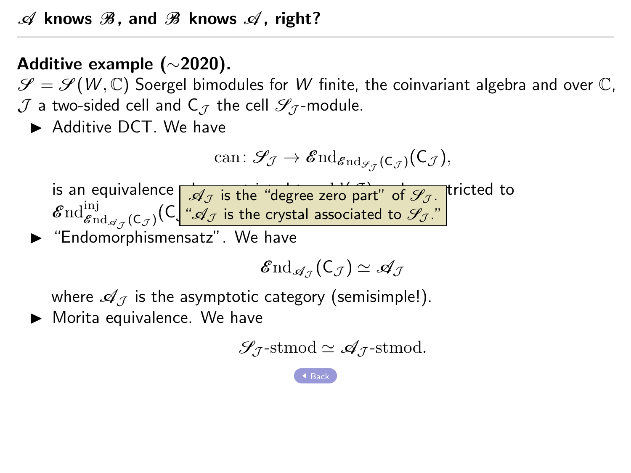# Additive example (∼2020).

 $\mathscr{S} = \mathscr{S}(W, \mathbb{C})$  Soergel bimodules for W finite, the coinvariant algebra and over  $\mathbb{C}$ ,  $J$  a two-sided cell and C<sub>7</sub> the cell  $\mathscr{S}_{7}$ -module.

Additive DCT. We have

$$
\mathrm{can}\colon\mathscr{S}_{\!\mathcal{J}}\rightarrow\mathbf{End}_{\mathbf{End}_{\mathscr{S}_{\mathcal{J}}}(\mathsf{C}_{\mathcal{J}})}(\mathsf{C}_{\mathcal{J}}),
$$

is an equivalence  $\frac{d}{d\tau}$  is the "degree zero part" of  $\mathscr{S}_{\mathcal{J}}$ . tricted to  $\operatorname{End}_{\mathscr{E}\mathrm{nd}_{\mathscr{A}_{\mathcal{J}}}(\mathsf{C}_{\mathcal{J}})}^{\mathrm{inj}}(\mathsf{C}_{\square_{\mathscr{L}}}^{\square_{\mathscr{L}}}$  $\mathscr{A}_{\mathcal{J}}$  is the "degree zero part" of  $\mathscr{S}_{\mathcal{J}}$ . " $\mathscr{A}_{\mathcal{J}}$  is the crystal associated to  $\mathscr{S}_{\mathcal{J}}$ ."

 $\blacktriangleright$  "Endomorphismensatz". We have

$$
\mathcal{\mathscr{E}\mathrm{nd}}_{\mathscr{A}_{\mathcal{J}}}(\mathsf{C}_{\mathcal{J}})\simeq \mathscr{A}_{\mathcal{J}}
$$

where  $\mathscr{A}_{\mathcal{I}}$  is the asymptotic category (semisimple!).

 $\blacktriangleright$  Morita equivalence. We have

$$
\mathcal{S}_{\mathcal{J}}\text{-stmod} \simeq \mathcal{A}_{\mathcal{J}}\text{-stmod}.
$$

[Back](#page-5-0)